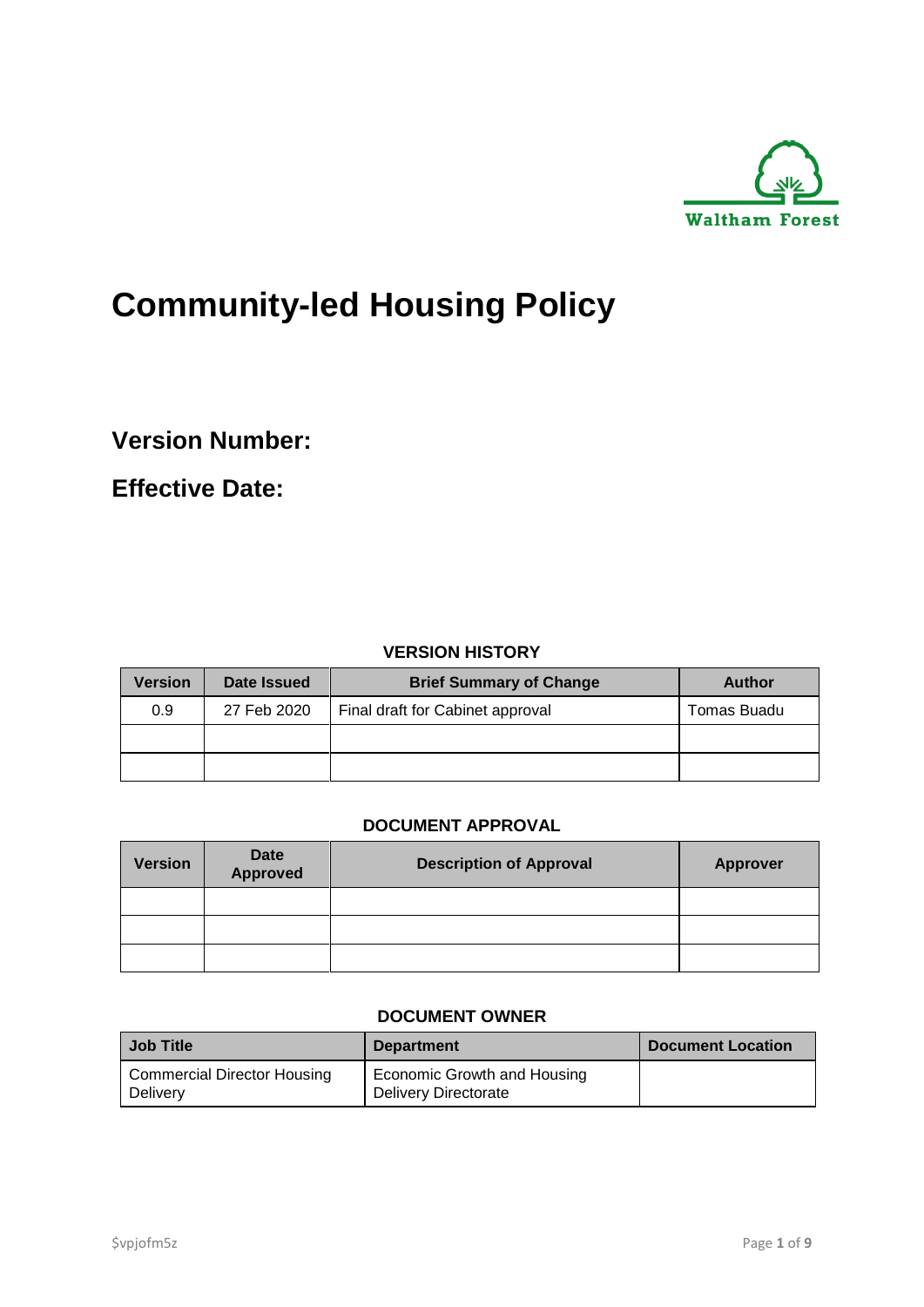

# **Community-led Housing Policy**

**Version Number:**

**Effective Date:**

#### **VERSION HISTORY**

| <b>Version</b> | Date Issued | <b>Brief Summary of Change</b>   | Author      |
|----------------|-------------|----------------------------------|-------------|
| 0.9            | 27 Feb 2020 | Final draft for Cabinet approval | Tomas Buadu |
|                |             |                                  |             |
|                |             |                                  |             |

#### **DOCUMENT APPROVAL**

| <b>Version</b> | Date<br>Approved | <b>Description of Approval</b> | <b>Approver</b> |
|----------------|------------------|--------------------------------|-----------------|
|                |                  |                                |                 |
|                |                  |                                |                 |
|                |                  |                                |                 |

#### **DOCUMENT OWNER**

| Job Title                                      | <b>Department</b>                                          | <b>Document Location</b> |
|------------------------------------------------|------------------------------------------------------------|--------------------------|
| <b>Commercial Director Housing</b><br>Delivery | Economic Growth and Housing<br><b>Delivery Directorate</b> |                          |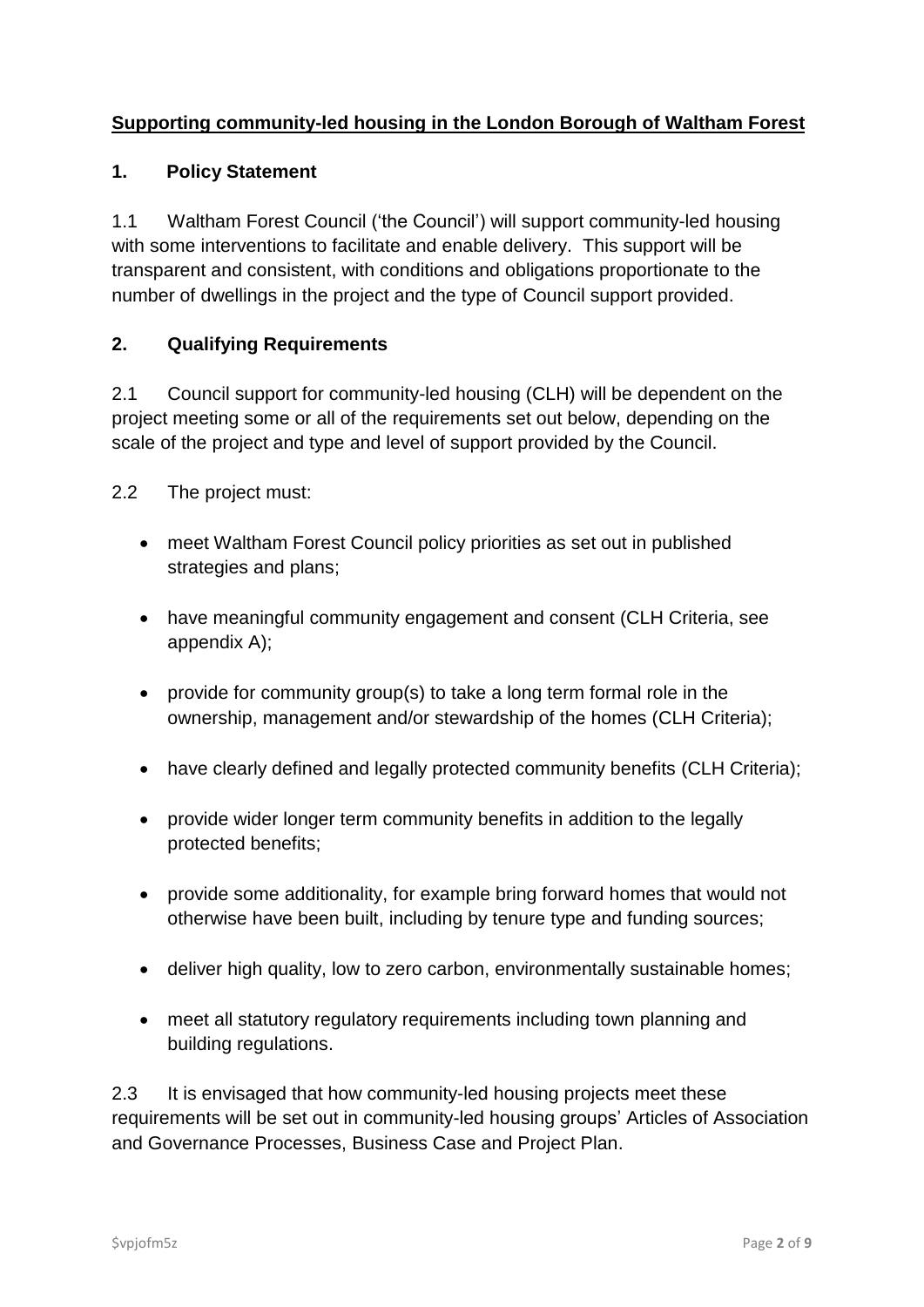# **Supporting community-led housing in the London Borough of Waltham Forest**

#### **1. Policy Statement**

1.1 Waltham Forest Council ('the Council') will support community-led housing with some interventions to facilitate and enable delivery. This support will be transparent and consistent, with conditions and obligations proportionate to the number of dwellings in the project and the type of Council support provided.

# **2. Qualifying Requirements**

2.1 Council support for community-led housing (CLH) will be dependent on the project meeting some or all of the requirements set out below, depending on the scale of the project and type and level of support provided by the Council.

- 2.2 The project must:
	- meet Waltham Forest Council policy priorities as set out in published strategies and plans;
	- have meaningful community engagement and consent (CLH Criteria, see appendix A);
	- provide for community group(s) to take a long term formal role in the ownership, management and/or stewardship of the homes (CLH Criteria);
	- have clearly defined and legally protected community benefits (CLH Criteria);
	- provide wider longer term community benefits in addition to the legally protected benefits;
	- provide some additionality, for example bring forward homes that would not otherwise have been built, including by tenure type and funding sources;
	- deliver high quality, low to zero carbon, environmentally sustainable homes;
	- meet all statutory regulatory requirements including town planning and building regulations.

2.3 It is envisaged that how community-led housing projects meet these requirements will be set out in community-led housing groups' Articles of Association and Governance Processes, Business Case and Project Plan.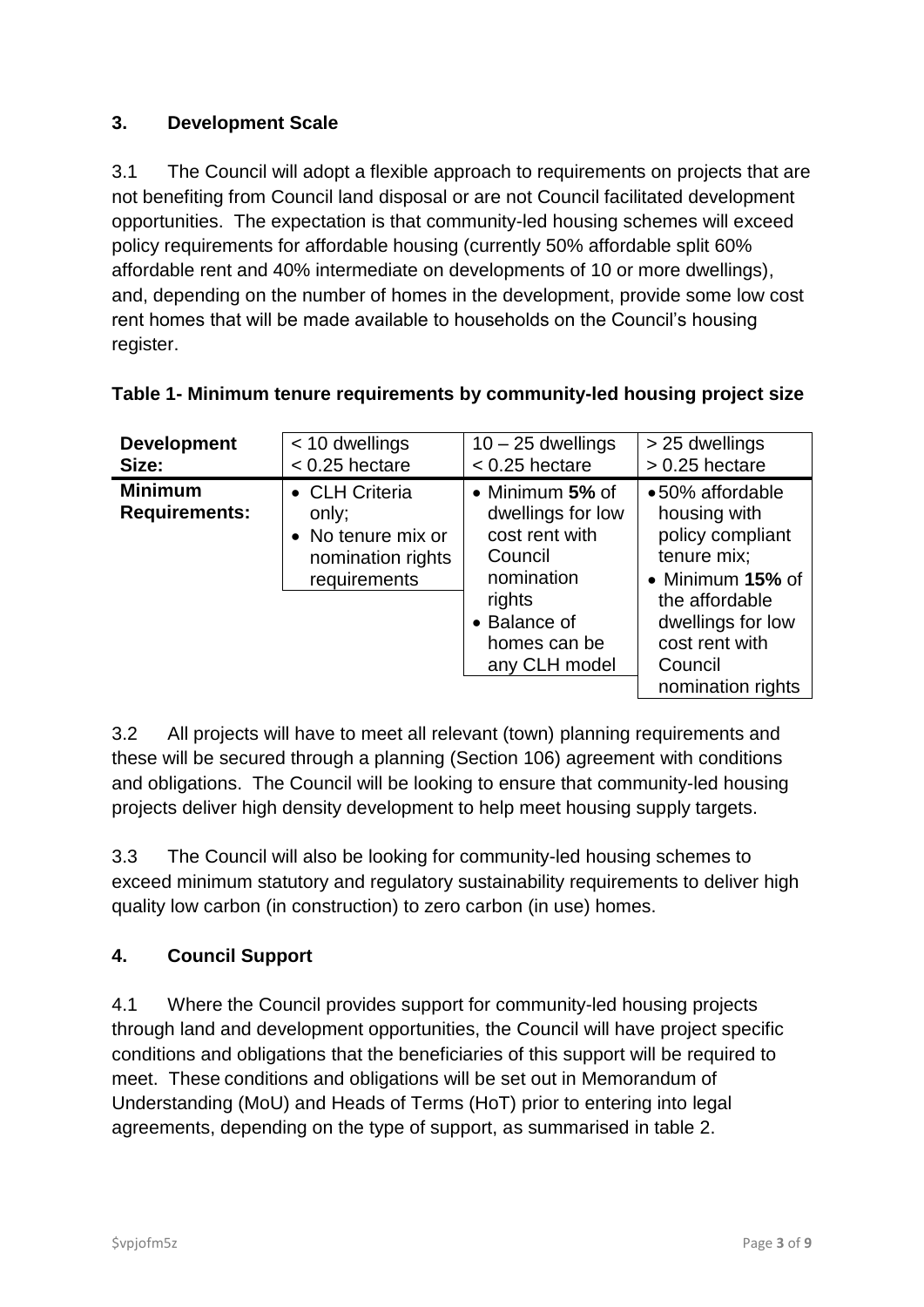# **3. Development Scale**

3.1 The Council will adopt a flexible approach to requirements on projects that are not benefiting from Council land disposal or are not Council facilitated development opportunities. The expectation is that community-led housing schemes will exceed policy requirements for affordable housing (currently 50% affordable split 60% affordable rent and 40% intermediate on developments of 10 or more dwellings), and, depending on the number of homes in the development, provide some low cost rent homes that will be made available to households on the Council's housing register.

| <b>Development</b>                     | $<$ 10 dwellings                                                                   | $10 - 25$ dwellings                                                                                                                                | > 25 dwellings                                                                                                                                                                  |
|----------------------------------------|------------------------------------------------------------------------------------|----------------------------------------------------------------------------------------------------------------------------------------------------|---------------------------------------------------------------------------------------------------------------------------------------------------------------------------------|
| Size:                                  | $< 0.25$ hectare                                                                   | $< 0.25$ hectare                                                                                                                                   | $> 0.25$ hectare                                                                                                                                                                |
| <b>Minimum</b><br><b>Requirements:</b> | • CLH Criteria<br>only;<br>• No tenure mix or<br>nomination rights<br>requirements | $\bullet$ Minimum 5% of<br>dwellings for low<br>cost rent with<br>Council<br>nomination<br>rights<br>• Balance of<br>homes can be<br>any CLH model | •50% affordable<br>housing with<br>policy compliant<br>tenure mix;<br>• Minimum 15% of<br>the affordable<br>dwellings for low<br>cost rent with<br>Council<br>nomination rights |

# **Table 1- Minimum tenure requirements by community-led housing project size**

3.2 All projects will have to meet all relevant (town) planning requirements and these will be secured through a planning (Section 106) agreement with conditions and obligations. The Council will be looking to ensure that community-led housing projects deliver high density development to help meet housing supply targets.

3.3 The Council will also be looking for community-led housing schemes to exceed minimum statutory and regulatory sustainability requirements to deliver high quality low carbon (in construction) to zero carbon (in use) homes.

# **4. Council Support**

4.1 Where the Council provides support for community-led housing projects through land and development opportunities, the Council will have project specific conditions and obligations that the beneficiaries of this support will be required to meet. These conditions and obligations will be set out in Memorandum of Understanding (MoU) and Heads of Terms (HoT) prior to entering into legal agreements, depending on the type of support, as summarised in table 2.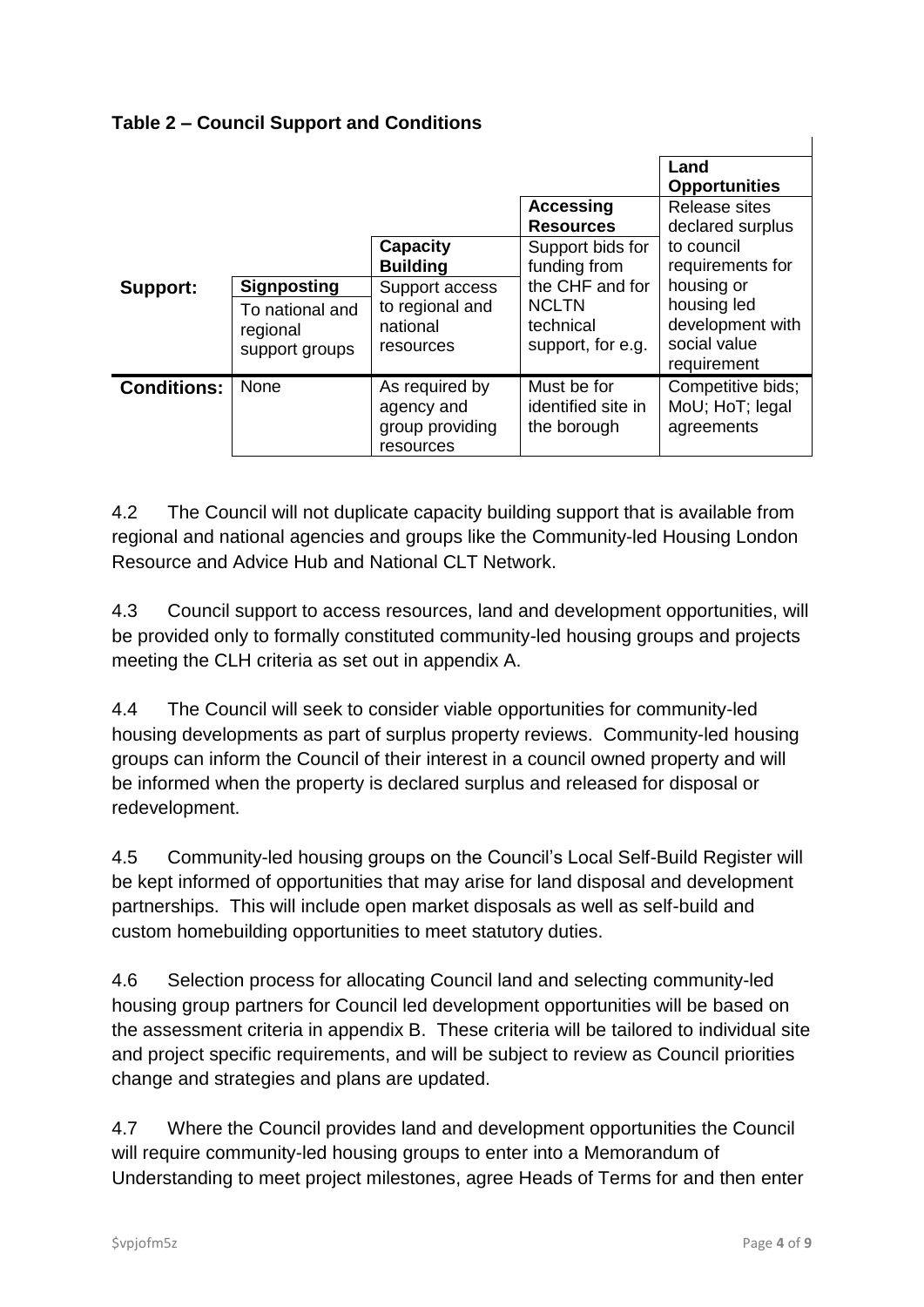# **Table 2 – Council Support and Conditions**

|                    |                                               |                                                              |                                                  | Land                                                           |
|--------------------|-----------------------------------------------|--------------------------------------------------------------|--------------------------------------------------|----------------------------------------------------------------|
|                    |                                               |                                                              |                                                  | <b>Opportunities</b>                                           |
|                    |                                               |                                                              | <b>Accessing</b>                                 | <b>Release sites</b>                                           |
|                    |                                               |                                                              | <b>Resources</b>                                 | declared surplus                                               |
|                    |                                               | <b>Capacity</b>                                              | Support bids for                                 | to council                                                     |
|                    |                                               | <b>Building</b>                                              | funding from                                     | requirements for                                               |
| Support:           | <b>Signposting</b>                            | Support access                                               | the CHF and for                                  | housing or                                                     |
|                    | To national and<br>regional<br>support groups | to regional and<br>national<br>resources                     | <b>NCLTN</b><br>technical<br>support, for e.g.   | housing led<br>development with<br>social value<br>requirement |
| <b>Conditions:</b> | None                                          | As required by<br>agency and<br>group providing<br>resources | Must be for<br>identified site in<br>the borough | Competitive bids;<br>MoU; HoT; legal<br>agreements             |

4.2 The Council will not duplicate capacity building support that is available from regional and national agencies and groups like the Community-led Housing London Resource and Advice Hub and National CLT Network.

4.3 Council support to access resources, land and development opportunities, will be provided only to formally constituted community-led housing groups and projects meeting the CLH criteria as set out in appendix A.

4.4 The Council will seek to consider viable opportunities for community-led housing developments as part of surplus property reviews. Community-led housing groups can inform the Council of their interest in a council owned property and will be informed when the property is declared surplus and released for disposal or redevelopment.

4.5 Community-led housing groups on the Council's Local Self-Build Register will be kept informed of opportunities that may arise for land disposal and development partnerships. This will include open market disposals as well as self-build and custom homebuilding opportunities to meet statutory duties.

4.6 Selection process for allocating Council land and selecting community-led housing group partners for Council led development opportunities will be based on the assessment criteria in appendix B. These criteria will be tailored to individual site and project specific requirements, and will be subject to review as Council priorities change and strategies and plans are updated.

4.7 Where the Council provides land and development opportunities the Council will require community-led housing groups to enter into a Memorandum of Understanding to meet project milestones, agree Heads of Terms for and then enter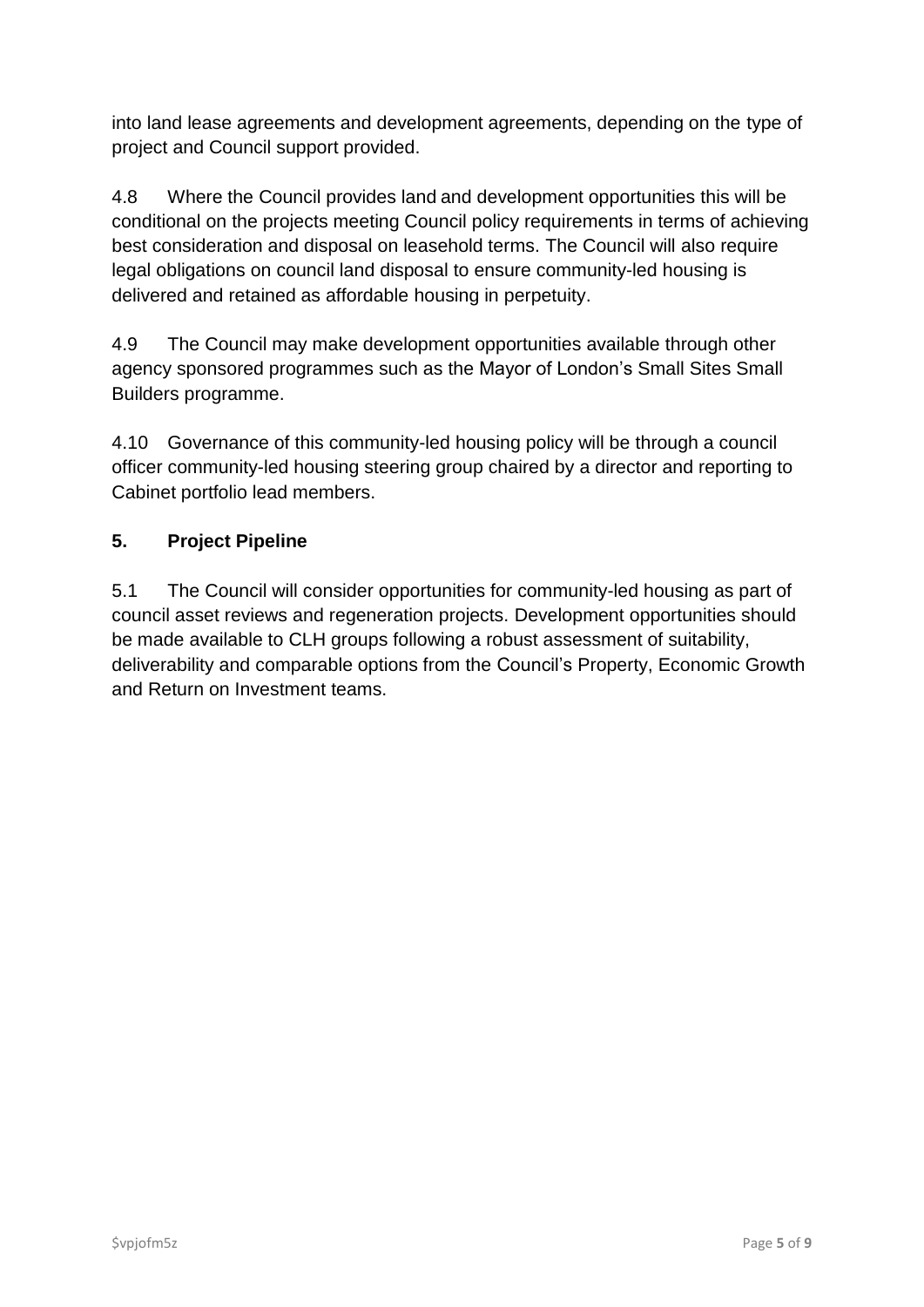into land lease agreements and development agreements, depending on the type of project and Council support provided.

4.8 Where the Council provides land and development opportunities this will be conditional on the projects meeting Council policy requirements in terms of achieving best consideration and disposal on leasehold terms. The Council will also require legal obligations on council land disposal to ensure community-led housing is delivered and retained as affordable housing in perpetuity.

4.9 The Council may make development opportunities available through other agency sponsored programmes such as the Mayor of London's Small Sites Small Builders programme.

4.10 Governance of this community-led housing policy will be through a council officer community-led housing steering group chaired by a director and reporting to Cabinet portfolio lead members.

# **5. Project Pipeline**

5.1 The Council will consider opportunities for community-led housing as part of council asset reviews and regeneration projects. Development opportunities should be made available to CLH groups following a robust assessment of suitability, deliverability and comparable options from the Council's Property, Economic Growth and Return on Investment teams.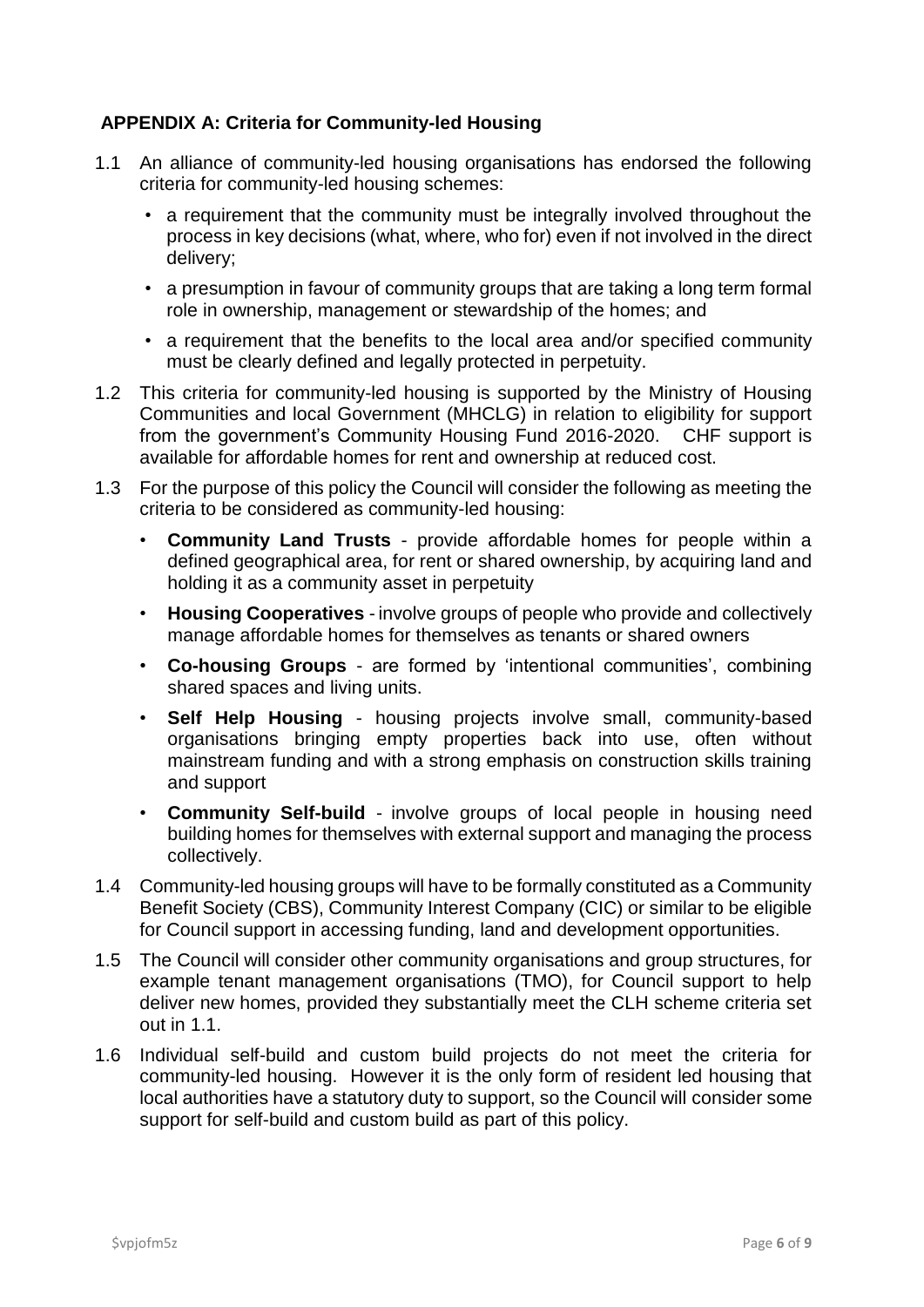#### **APPENDIX A: Criteria for Community-led Housing**

- 1.1 An alliance of community-led housing organisations has endorsed the following criteria for community-led housing schemes:
	- a requirement that the community must be integrally involved throughout the process in key decisions (what, where, who for) even if not involved in the direct delivery;
	- a presumption in favour of community groups that are taking a long term formal role in ownership, management or stewardship of the homes; and
	- a requirement that the benefits to the local area and/or specified community must be clearly defined and legally protected in perpetuity.
- 1.2 This criteria for community-led housing is supported by the Ministry of Housing Communities and local Government (MHCLG) in relation to eligibility for support from the government's Community Housing Fund 2016-2020. CHF support is available for affordable homes for rent and ownership at reduced cost.
- 1.3 For the purpose of this policy the Council will consider the following as meeting the criteria to be considered as community-led housing:
	- **Community Land Trusts** provide affordable homes for people within a defined geographical area, for rent or shared ownership, by acquiring land and holding it as a community asset in perpetuity
	- **Housing Cooperatives** involve groups of people who provide and collectively manage affordable homes for themselves as tenants or shared owners
	- **Co-housing Groups** are formed by 'intentional communities', combining shared spaces and living units.
	- **Self Help Housing** housing projects involve small, community-based organisations bringing empty properties back into use, often without mainstream funding and with a strong emphasis on construction skills training and support
	- **Community Self-build** involve groups of local people in housing need building homes for themselves with external support and managing the process collectively.
- 1.4 Community-led housing groups will have to be formally constituted as a Community Benefit Society (CBS), Community Interest Company (CIC) or similar to be eligible for Council support in accessing funding, land and development opportunities.
- 1.5 The Council will consider other community organisations and group structures, for example tenant management organisations (TMO), for Council support to help deliver new homes, provided they substantially meet the CLH scheme criteria set out in 1.1.
- 1.6 Individual self-build and custom build projects do not meet the criteria for community-led housing. However it is the only form of resident led housing that local authorities have a statutory duty to support, so the Council will consider some support for self-build and custom build as part of this policy.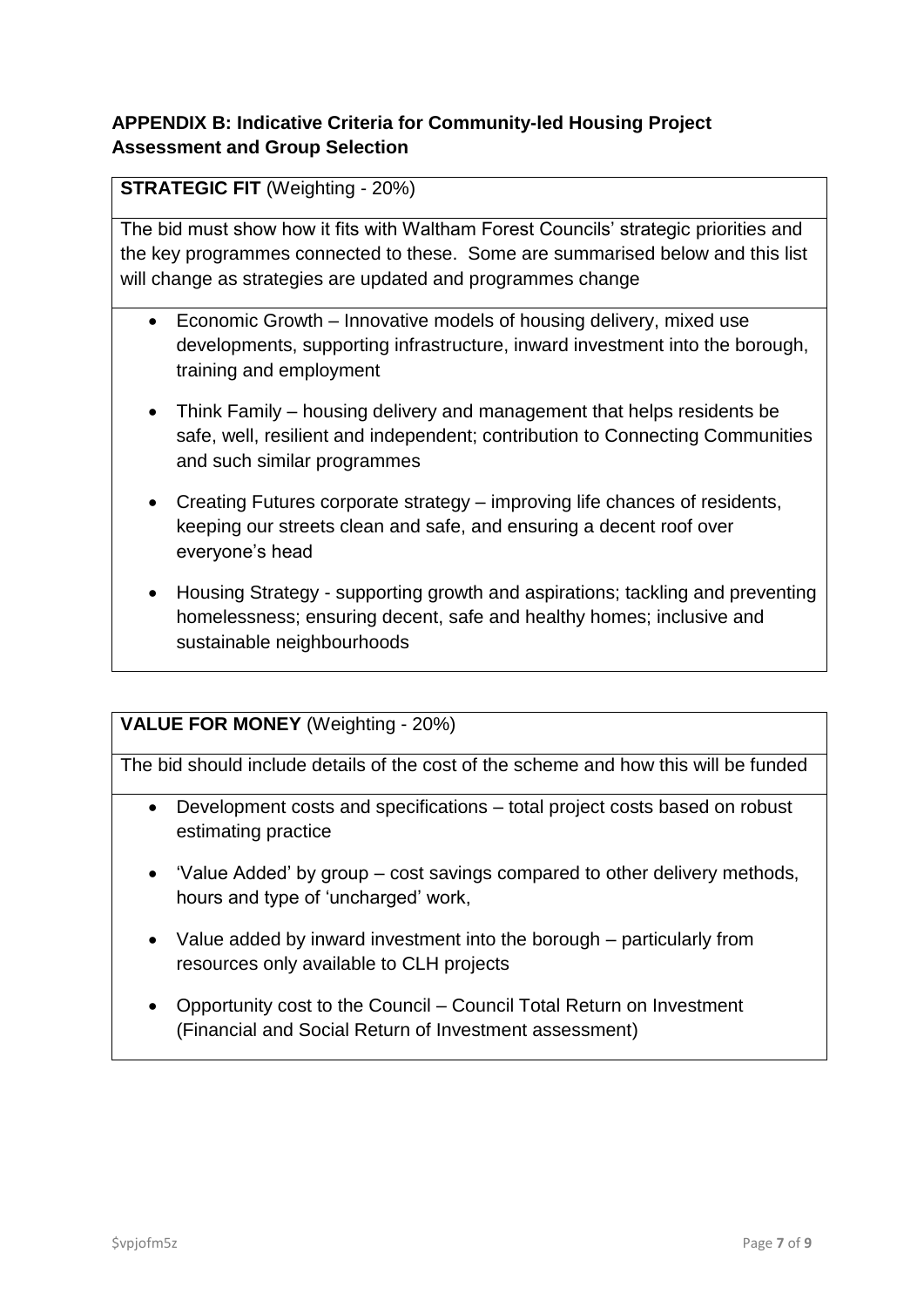# **APPENDIX B: Indicative Criteria for Community-led Housing Project Assessment and Group Selection**

#### **STRATEGIC FIT** (Weighting - 20%)

The bid must show how it fits with Waltham Forest Councils' strategic priorities and the key programmes connected to these. Some are summarised below and this list will change as strategies are updated and programmes change

- Economic Growth Innovative models of housing delivery, mixed use developments, supporting infrastructure, inward investment into the borough, training and employment
- Think Family housing delivery and management that helps residents be safe, well, resilient and independent; contribution to Connecting Communities and such similar programmes
- Creating Futures corporate strategy improving life chances of residents, keeping our streets clean and safe, and ensuring a decent roof over everyone's head
- Housing Strategy supporting growth and aspirations; tackling and preventing homelessness; ensuring decent, safe and healthy homes; inclusive and sustainable neighbourhoods

#### **VALUE FOR MONEY** (Weighting - 20%)

The bid should include details of the cost of the scheme and how this will be funded

- Development costs and specifications total project costs based on robust estimating practice
- 'Value Added' by group cost savings compared to other delivery methods, hours and type of 'uncharged' work,
- Value added by inward investment into the borough particularly from resources only available to CLH projects
- Opportunity cost to the Council Council Total Return on Investment (Financial and Social Return of Investment assessment)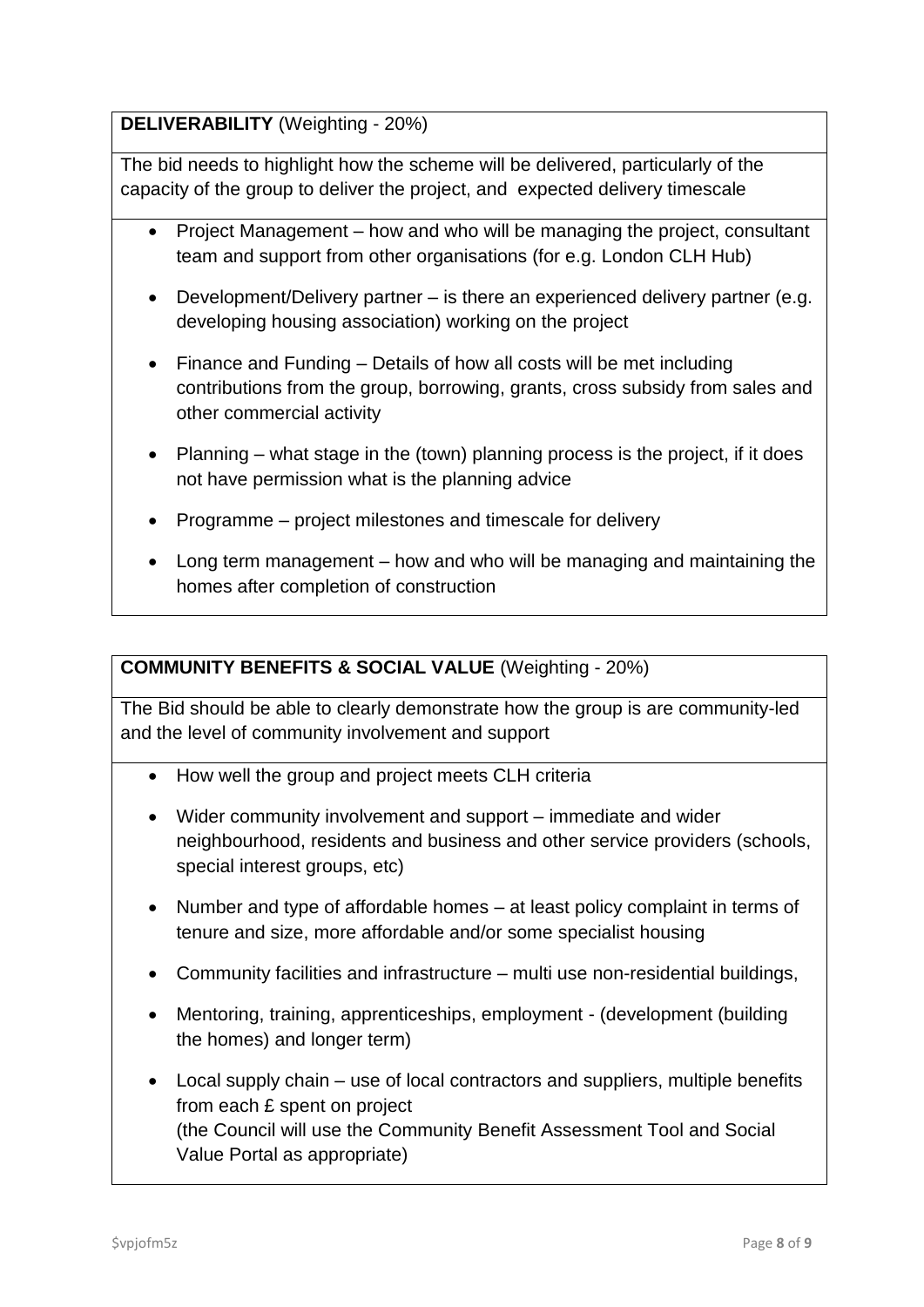# **DELIVERABILITY** (Weighting - 20%)

The bid needs to highlight how the scheme will be delivered, particularly of the capacity of the group to deliver the project, and expected delivery timescale

- Project Management how and who will be managing the project, consultant team and support from other organisations (for e.g. London CLH Hub)
- Development/Delivery partner is there an experienced delivery partner (e.g. developing housing association) working on the project
- Finance and Funding Details of how all costs will be met including contributions from the group, borrowing, grants, cross subsidy from sales and other commercial activity
- Planning what stage in the (town) planning process is the project, if it does not have permission what is the planning advice
- Programme project milestones and timescale for delivery
- Long term management how and who will be managing and maintaining the homes after completion of construction

#### **COMMUNITY BENEFITS & SOCIAL VALUE** (Weighting - 20%)

The Bid should be able to clearly demonstrate how the group is are community-led and the level of community involvement and support

- How well the group and project meets CLH criteria
- Wider community involvement and support immediate and wider neighbourhood, residents and business and other service providers (schools, special interest groups, etc)
- Number and type of affordable homes at least policy complaint in terms of tenure and size, more affordable and/or some specialist housing
- Community facilities and infrastructure multi use non-residential buildings,
- Mentoring, training, apprenticeships, employment (development (building the homes) and longer term)
- Local supply chain use of local contractors and suppliers, multiple benefits from each £ spent on project (the Council will use the Community Benefit Assessment Tool and Social Value Portal as appropriate)